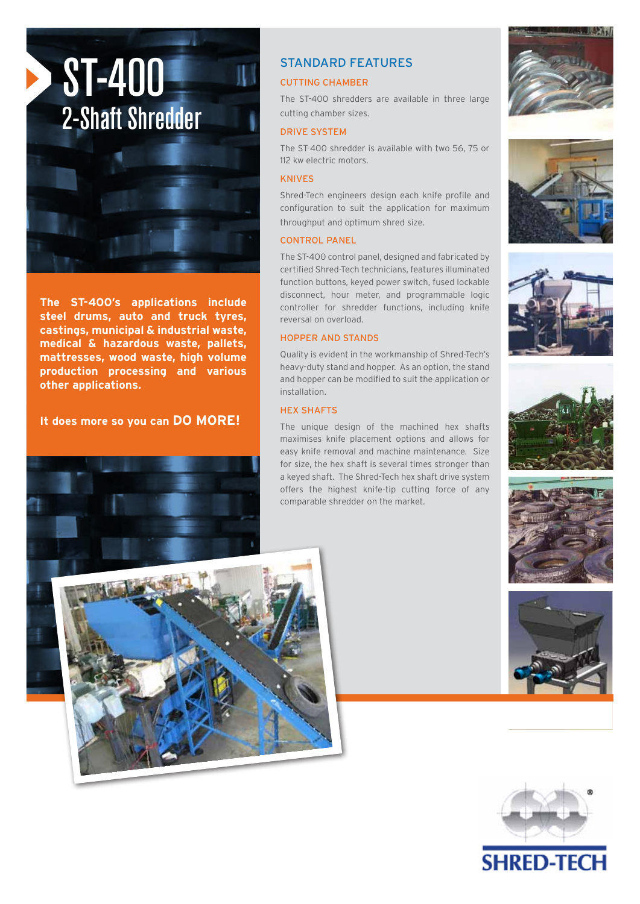

**The ST-400's applications include steel drums, auto and truck tyres, castings, municipal & industrial waste, medical & hazardous waste, pallets, mattresses, wood waste, high volume production processing and various other applications.** 

**It does more so you can DO MORE!**



# STANDARD FEATURES

## CUTTING CHAMBER

The ST-400 shredders are available in three large cutting chamber sizes.

#### DRIVE SYSTEM

The ST-400 shredder is available with two 56, 75 or 112 kw electric motors.

#### KNIVES

Shred-Tech engineers design each knife profile and configuration to suit the application for maximum throughput and optimum shred size.

#### CONTROL PANEL

The ST-400 control panel, designed and fabricated by certified Shred-Tech technicians, features illuminated function buttons, keyed power switch, fused lockable disconnect, hour meter, and programmable logic controller for shredder functions, including knife reversal on overload.

#### HOPPER AND STANDS

Quality is evident in the workmanship of Shred-Tech's heavy-duty stand and hopper. As an option, the stand and hopper can be modified to suit the application or installation.

#### HEX SHAFTS

The unique design of the machined hex shafts maximises knife placement options and allows for easy knife removal and machine maintenance. Size for size, the hex shaft is several times stronger than a keyed shaft. The Shred-Tech hex shaft drive system offers the highest knife-tip cutting force of any comparable shredder on the market.